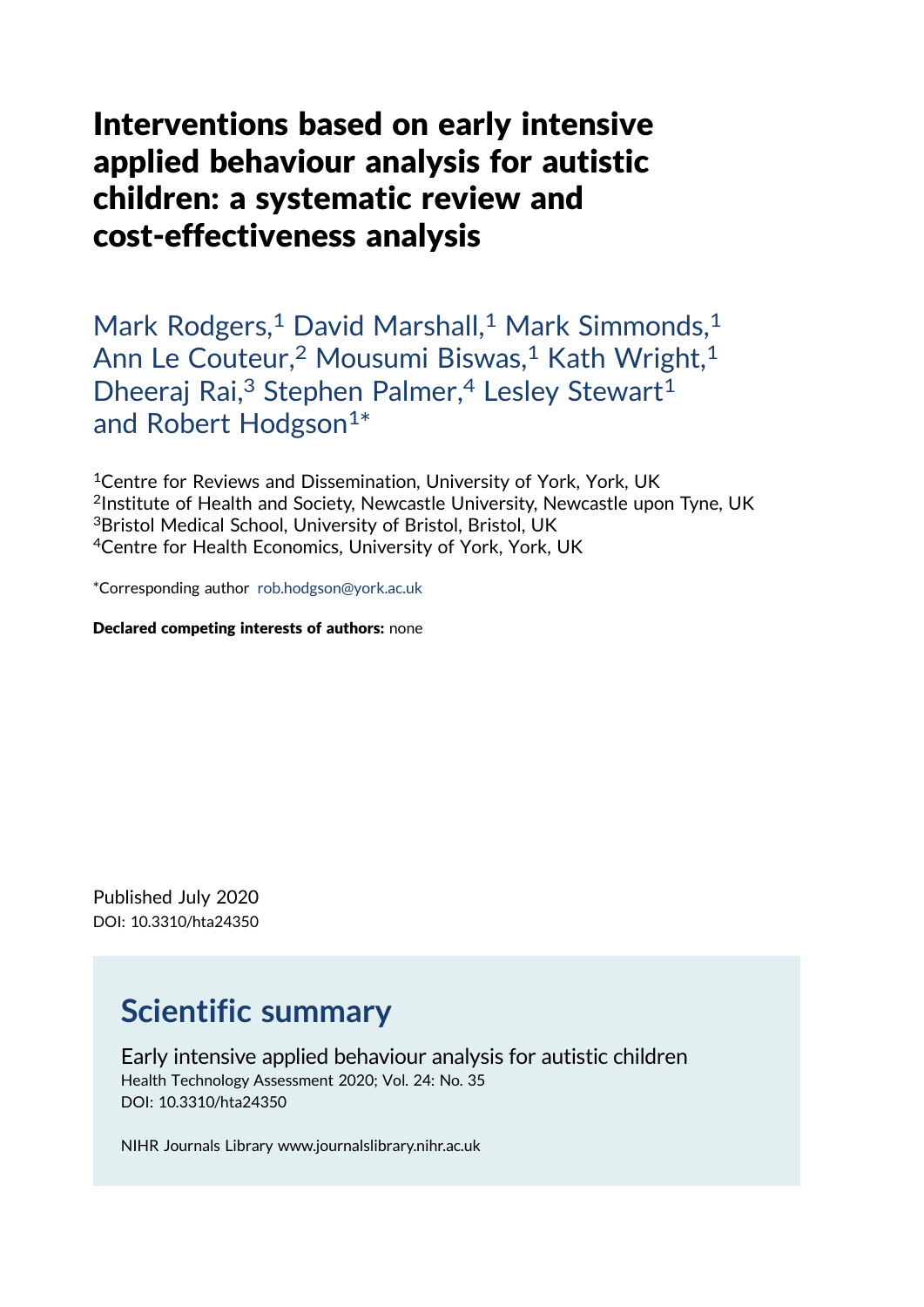# Interventions based on early intensive applied behaviour analysis for autistic children: a systematic review and cost-effectiveness analysis

Mark Rodgers,<sup>1</sup> David Marshall,<sup>1</sup> Mark Simmonds,<sup>1</sup> Ann Le Couteur,<sup>2</sup> Mousumi Biswas,<sup>1</sup> Kath Wright,<sup>1</sup> Dheeraj Rai,<sup>3</sup> Stephen Palmer,<sup>4</sup> Lesley Stewart<sup>1</sup> and Robert Hodgson<sup>1\*</sup>

1Centre for Reviews and Dissemination, University of York, York, UK 2Institute of Health and Society, Newcastle University, Newcastle upon Tyne, UK 3Bristol Medical School, University of Bristol, Bristol, UK 4Centre for Health Economics, University of York, York, UK

\*Corresponding author rob.hodgson@york.ac.uk

Declared competing interests of authors: none

Published July 2020 DOI: 10.3310/hta24350

## Scientific summary

Early intensive applied behaviour analysis for autistic children Health Technology Assessment 2020; Vol. 24: No. 35 DOI: 10.3310/hta24350

NIHR Journals Library www.journalslibrary.nihr.ac.uk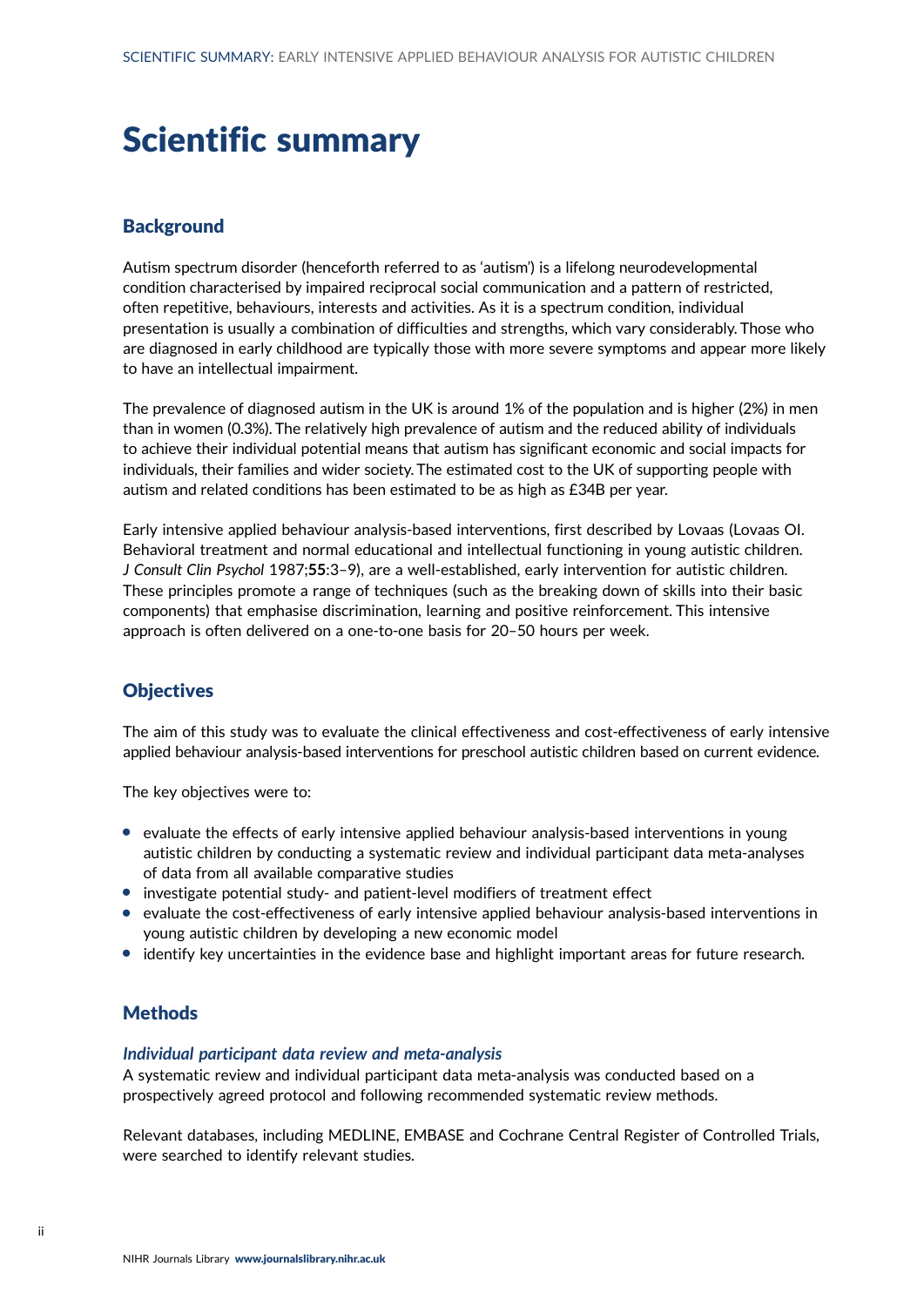# Scientific summary

## **Background**

Autism spectrum disorder (henceforth referred to as 'autism') is a lifelong neurodevelopmental condition characterised by impaired reciprocal social communication and a pattern of restricted, often repetitive, behaviours, interests and activities. As it is a spectrum condition, individual presentation is usually a combination of difficulties and strengths, which vary considerably. Those who are diagnosed in early childhood are typically those with more severe symptoms and appear more likely to have an intellectual impairment.

The prevalence of diagnosed autism in the UK is around 1% of the population and is higher (2%) in men than in women (0.3%). The relatively high prevalence of autism and the reduced ability of individuals to achieve their individual potential means that autism has significant economic and social impacts for individuals, their families and wider society. The estimated cost to the UK of supporting people with autism and related conditions has been estimated to be as high as £34B per year.

Early intensive applied behaviour analysis-based interventions, first described by Lovaas (Lovaas OI. Behavioral treatment and normal educational and intellectual functioning in young autistic children. J Consult Clin Psychol 1987;55:3–9), are a well-established, early intervention for autistic children. These principles promote a range of techniques (such as the breaking down of skills into their basic components) that emphasise discrimination, learning and positive reinforcement. This intensive approach is often delivered on a one-to-one basis for 20–50 hours per week.

### **Objectives**

The aim of this study was to evaluate the clinical effectiveness and cost-effectiveness of early intensive applied behaviour analysis-based interventions for preschool autistic children based on current evidence.

The key objectives were to:

- evaluate the effects of early intensive applied behaviour analysis-based interventions in young autistic children by conducting a systematic review and individual participant data meta-analyses of data from all available comparative studies
- investigate potential study- and patient-level modifiers of treatment effect
- evaluate the cost-effectiveness of early intensive applied behaviour analysis-based interventions in young autistic children by developing a new economic model
- identify key uncertainties in the evidence base and highlight important areas for future research.

## **Methods**

#### Individual participant data review and meta-analysis

A systematic review and individual participant data meta-analysis was conducted based on a prospectively agreed protocol and following recommended systematic review methods.

Relevant databases, including MEDLINE, EMBASE and Cochrane Central Register of Controlled Trials, were searched to identify relevant studies.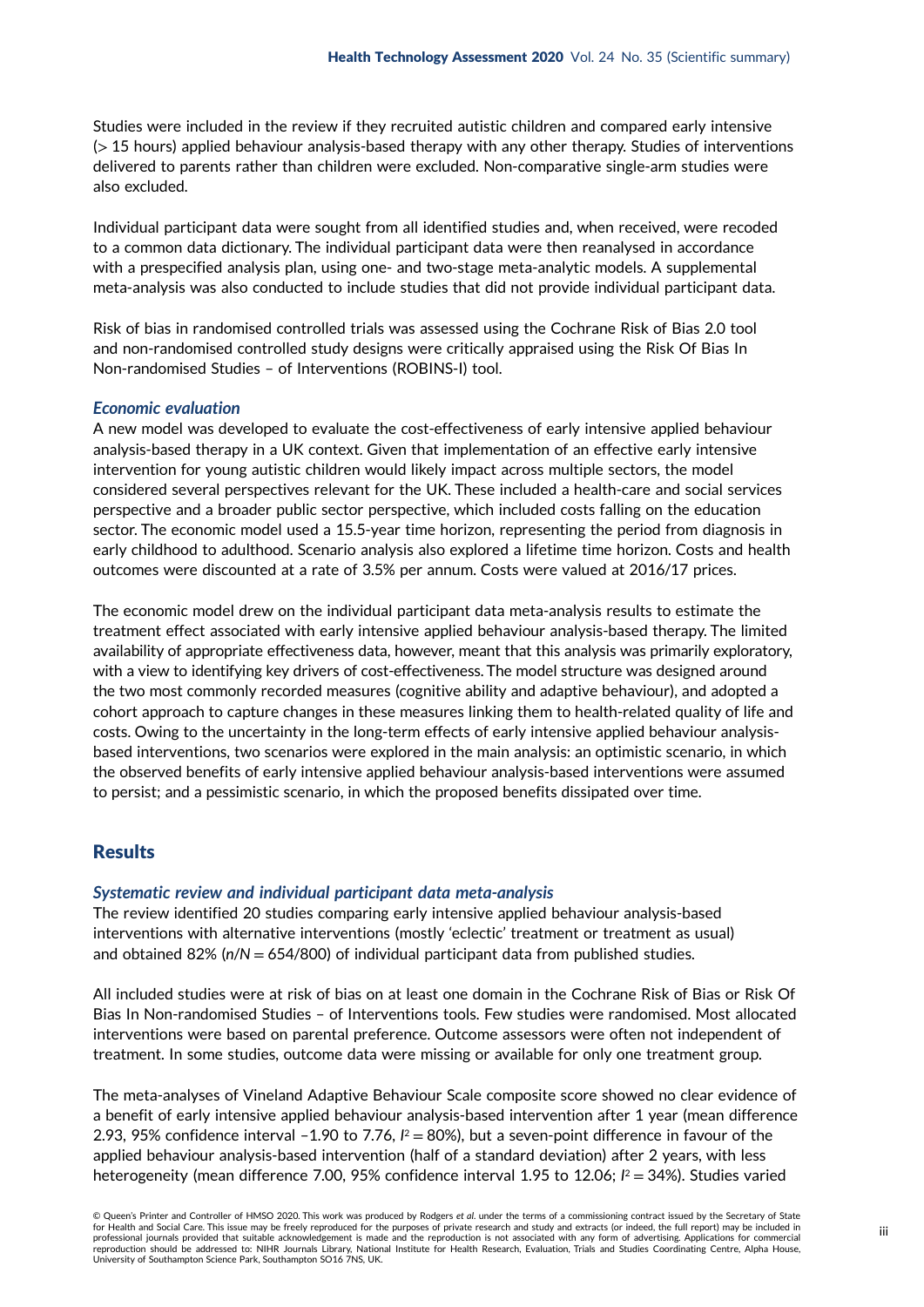Studies were included in the review if they recruited autistic children and compared early intensive (> 15 hours) applied behaviour analysis-based therapy with any other therapy. Studies of interventions delivered to parents rather than children were excluded. Non-comparative single-arm studies were also excluded.

Individual participant data were sought from all identified studies and, when received, were recoded to a common data dictionary. The individual participant data were then reanalysed in accordance with a prespecified analysis plan, using one- and two-stage meta-analytic models. A supplemental meta-analysis was also conducted to include studies that did not provide individual participant data.

Risk of bias in randomised controlled trials was assessed using the Cochrane Risk of Bias 2.0 tool and non-randomised controlled study designs were critically appraised using the Risk Of Bias In Non-randomised Studies – of Interventions (ROBINS-I) tool.

#### Economic evaluation

A new model was developed to evaluate the cost-effectiveness of early intensive applied behaviour analysis-based therapy in a UK context. Given that implementation of an effective early intensive intervention for young autistic children would likely impact across multiple sectors, the model considered several perspectives relevant for the UK. These included a health-care and social services perspective and a broader public sector perspective, which included costs falling on the education sector. The economic model used a 15.5-year time horizon, representing the period from diagnosis in early childhood to adulthood. Scenario analysis also explored a lifetime time horizon. Costs and health outcomes were discounted at a rate of 3.5% per annum. Costs were valued at 2016/17 prices.

The economic model drew on the individual participant data meta-analysis results to estimate the treatment effect associated with early intensive applied behaviour analysis-based therapy. The limited availability of appropriate effectiveness data, however, meant that this analysis was primarily exploratory, with a view to identifying key drivers of cost-effectiveness. The model structure was designed around the two most commonly recorded measures (cognitive ability and adaptive behaviour), and adopted a cohort approach to capture changes in these measures linking them to health-related quality of life and costs. Owing to the uncertainty in the long-term effects of early intensive applied behaviour analysisbased interventions, two scenarios were explored in the main analysis: an optimistic scenario, in which the observed benefits of early intensive applied behaviour analysis-based interventions were assumed to persist; and a pessimistic scenario, in which the proposed benefits dissipated over time.

#### **Results**

#### Systematic review and individual participant data meta-analysis

The review identified 20 studies comparing early intensive applied behaviour analysis-based interventions with alternative interventions (mostly 'eclectic' treatment or treatment as usual) and obtained  $82\%$  (n/N = 654/800) of individual participant data from published studies.

All included studies were at risk of bias on at least one domain in the Cochrane Risk of Bias or Risk Of Bias In Non-randomised Studies – of Interventions tools. Few studies were randomised. Most allocated interventions were based on parental preference. Outcome assessors were often not independent of treatment. In some studies, outcome data were missing or available for only one treatment group.

The meta-analyses of Vineland Adaptive Behaviour Scale composite score showed no clear evidence of a benefit of early intensive applied behaviour analysis-based intervention after 1 year (mean difference 2.93, 95% confidence interval -1.90 to 7.76,  $I^2 = 80\%$ ), but a seven-point difference in favour of the<br>applied behaviour applysis based intervention (balf of a standard deviation) after 2 years with loss applied behaviour analysis-based intervention (half of a standard deviation) after 2 years, with less heterogeneity (mean difference 7.00, 95% confidence interval 1.95 to 12.06;  $l^2 = 34$ %). Studies varied

© Queen's Printer and Controller of HMSO 2020. This work was produced by Rodgers et al. under the terms of a commissioning contract issued by the Secretary of State for Health and Social Care. This issue may be freely reproduced for the purposes of private research and study and extracts (or indeed, the full report) may be included in professional journals provided that suitable acknowledgement is made and the reproduction is not associated with any form of advertising. Applications for commercial reproduction should be addressed to: NIHR Journals Library, National Institute for Health Research, Evaluation, Trials and Studies Coordinating Centre, Alpha House<br>University of Southampton Science Park, Southampton SO16 7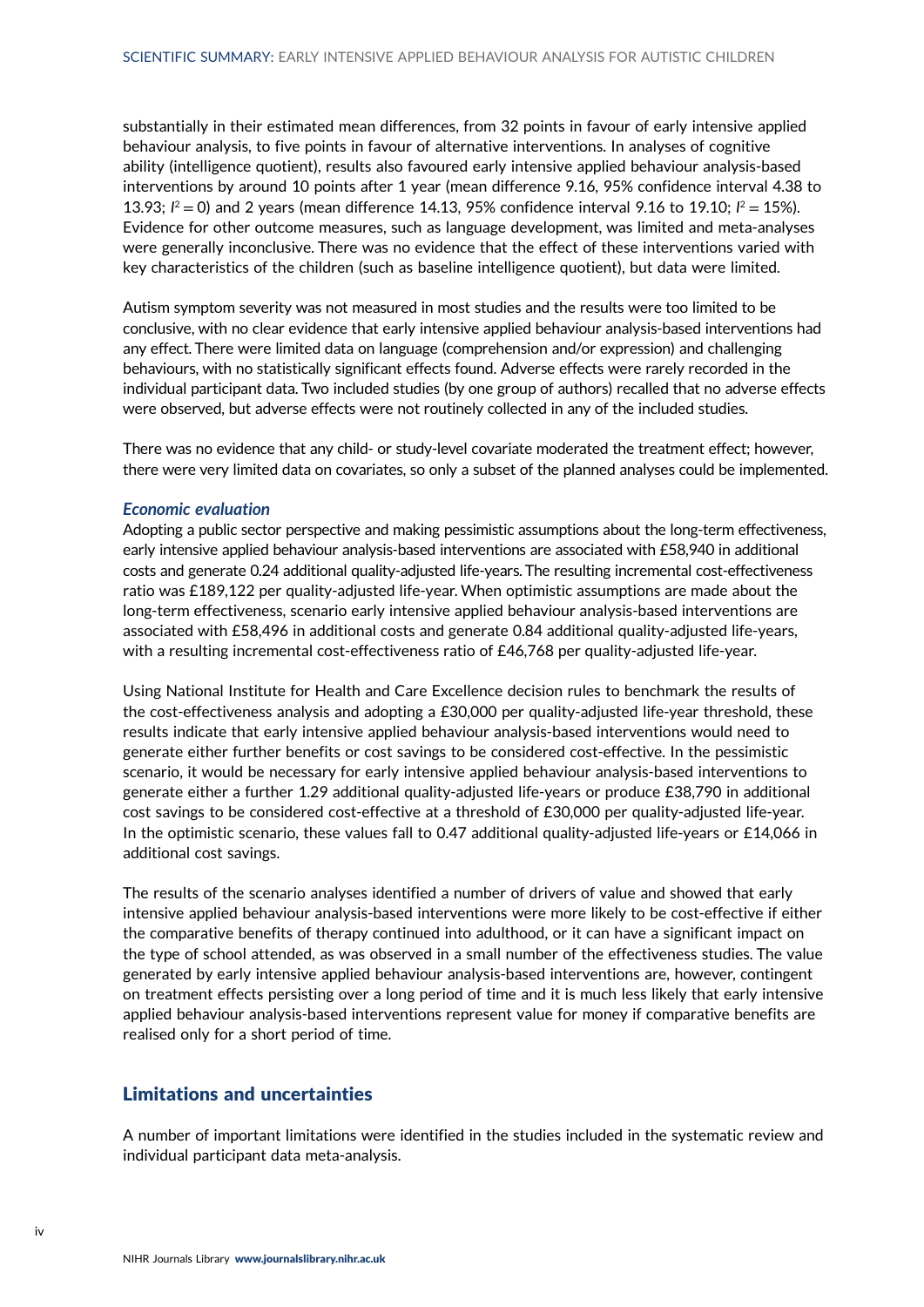substantially in their estimated mean differences, from 32 points in favour of early intensive applied behaviour analysis, to five points in favour of alternative interventions. In analyses of cognitive ability (intelligence quotient), results also favoured early intensive applied behaviour analysis-based interventions by around 10 points after 1 year (mean difference 9.16, 95% confidence interval 4.38 to 13.93;  $l^2 = 0$ ) and 2 years (mean difference 14.13, 95% confidence interval 9.16 to 19.10;  $l^2 = 15$ %).<br>Evidence for other outcome measures, such as language development, was limited and meta-analys Evidence for other outcome measures, such as language development, was limited and meta-analyses were generally inconclusive. There was no evidence that the effect of these interventions varied with key characteristics of the children (such as baseline intelligence quotient), but data were limited.

Autism symptom severity was not measured in most studies and the results were too limited to be conclusive, with no clear evidence that early intensive applied behaviour analysis-based interventions had any effect. There were limited data on language (comprehension and/or expression) and challenging behaviours, with no statistically significant effects found. Adverse effects were rarely recorded in the individual participant data. Two included studies (by one group of authors) recalled that no adverse effects were observed, but adverse effects were not routinely collected in any of the included studies.

There was no evidence that any child- or study-level covariate moderated the treatment effect; however, there were very limited data on covariates, so only a subset of the planned analyses could be implemented.

#### Economic evaluation

Adopting a public sector perspective and making pessimistic assumptions about the long-term effectiveness, early intensive applied behaviour analysis-based interventions are associated with £58,940 in additional costs and generate 0.24 additional quality-adjusted life-years. The resulting incremental cost-effectiveness ratio was £189,122 per quality-adjusted life-year. When optimistic assumptions are made about the long-term effectiveness, scenario early intensive applied behaviour analysis-based interventions are associated with £58,496 in additional costs and generate 0.84 additional quality-adjusted life-years, with a resulting incremental cost-effectiveness ratio of £46,768 per quality-adjusted life-year.

Using National Institute for Health and Care Excellence decision rules to benchmark the results of the cost-effectiveness analysis and adopting a £30,000 per quality-adjusted life-year threshold, these results indicate that early intensive applied behaviour analysis-based interventions would need to generate either further benefits or cost savings to be considered cost-effective. In the pessimistic scenario, it would be necessary for early intensive applied behaviour analysis-based interventions to generate either a further 1.29 additional quality-adjusted life-years or produce £38,790 in additional cost savings to be considered cost-effective at a threshold of £30,000 per quality-adjusted life-year. In the optimistic scenario, these values fall to 0.47 additional quality-adjusted life-years or £14,066 in additional cost savings.

The results of the scenario analyses identified a number of drivers of value and showed that early intensive applied behaviour analysis-based interventions were more likely to be cost-effective if either the comparative benefits of therapy continued into adulthood, or it can have a significant impact on the type of school attended, as was observed in a small number of the effectiveness studies. The value generated by early intensive applied behaviour analysis-based interventions are, however, contingent on treatment effects persisting over a long period of time and it is much less likely that early intensive applied behaviour analysis-based interventions represent value for money if comparative benefits are realised only for a short period of time.

## Limitations and uncertainties

A number of important limitations were identified in the studies included in the systematic review and individual participant data meta-analysis.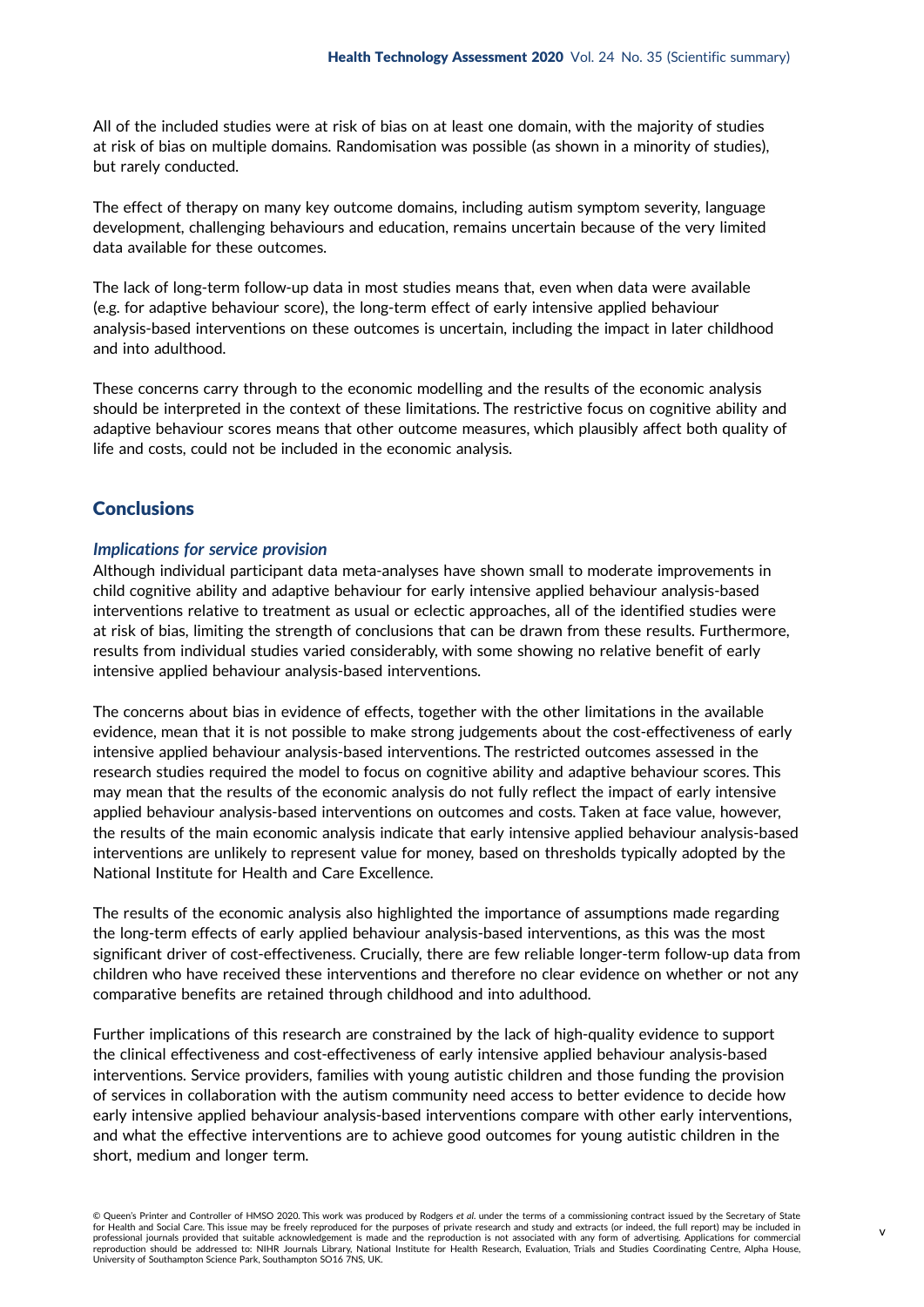All of the included studies were at risk of bias on at least one domain, with the majority of studies at risk of bias on multiple domains. Randomisation was possible (as shown in a minority of studies), but rarely conducted.

The effect of therapy on many key outcome domains, including autism symptom severity, language development, challenging behaviours and education, remains uncertain because of the very limited data available for these outcomes.

The lack of long-term follow-up data in most studies means that, even when data were available (e.g. for adaptive behaviour score), the long-term effect of early intensive applied behaviour analysis-based interventions on these outcomes is uncertain, including the impact in later childhood and into adulthood.

These concerns carry through to the economic modelling and the results of the economic analysis should be interpreted in the context of these limitations. The restrictive focus on cognitive ability and adaptive behaviour scores means that other outcome measures, which plausibly affect both quality of life and costs, could not be included in the economic analysis.

## **Conclusions**

#### Implications for service provision

Although individual participant data meta-analyses have shown small to moderate improvements in child cognitive ability and adaptive behaviour for early intensive applied behaviour analysis-based interventions relative to treatment as usual or eclectic approaches, all of the identified studies were at risk of bias, limiting the strength of conclusions that can be drawn from these results. Furthermore, results from individual studies varied considerably, with some showing no relative benefit of early intensive applied behaviour analysis-based interventions.

The concerns about bias in evidence of effects, together with the other limitations in the available evidence, mean that it is not possible to make strong judgements about the cost-effectiveness of early intensive applied behaviour analysis-based interventions. The restricted outcomes assessed in the research studies required the model to focus on cognitive ability and adaptive behaviour scores. This may mean that the results of the economic analysis do not fully reflect the impact of early intensive applied behaviour analysis-based interventions on outcomes and costs. Taken at face value, however, the results of the main economic analysis indicate that early intensive applied behaviour analysis-based interventions are unlikely to represent value for money, based on thresholds typically adopted by the National Institute for Health and Care Excellence.

The results of the economic analysis also highlighted the importance of assumptions made regarding the long-term effects of early applied behaviour analysis-based interventions, as this was the most significant driver of cost-effectiveness. Crucially, there are few reliable longer-term follow-up data from children who have received these interventions and therefore no clear evidence on whether or not any comparative benefits are retained through childhood and into adulthood.

Further implications of this research are constrained by the lack of high-quality evidence to support the clinical effectiveness and cost-effectiveness of early intensive applied behaviour analysis-based interventions. Service providers, families with young autistic children and those funding the provision of services in collaboration with the autism community need access to better evidence to decide how early intensive applied behaviour analysis-based interventions compare with other early interventions, and what the effective interventions are to achieve good outcomes for young autistic children in the short, medium and longer term.

<sup>©</sup> Queen's Printer and Controller of HMSO 2020. This work was produced by Rodgers et al. under the terms of a commissioning contract issued by the Secretary of State for Health and Social Care. This issue may be freely reproduced for the purposes of private research and study and extracts (or indeed, the full report) may be included in professional journals provided that suitable acknowledgement is made and the reproduction is not associated with any form of advertising. Applications for commercial reproduction should be addressed to: NIHR Journals Library, National Institute for Health Research, Evaluation, Trials and Studies Coordinating Centre, Alpha House<br>University of Southampton Science Park, Southampton SO16 7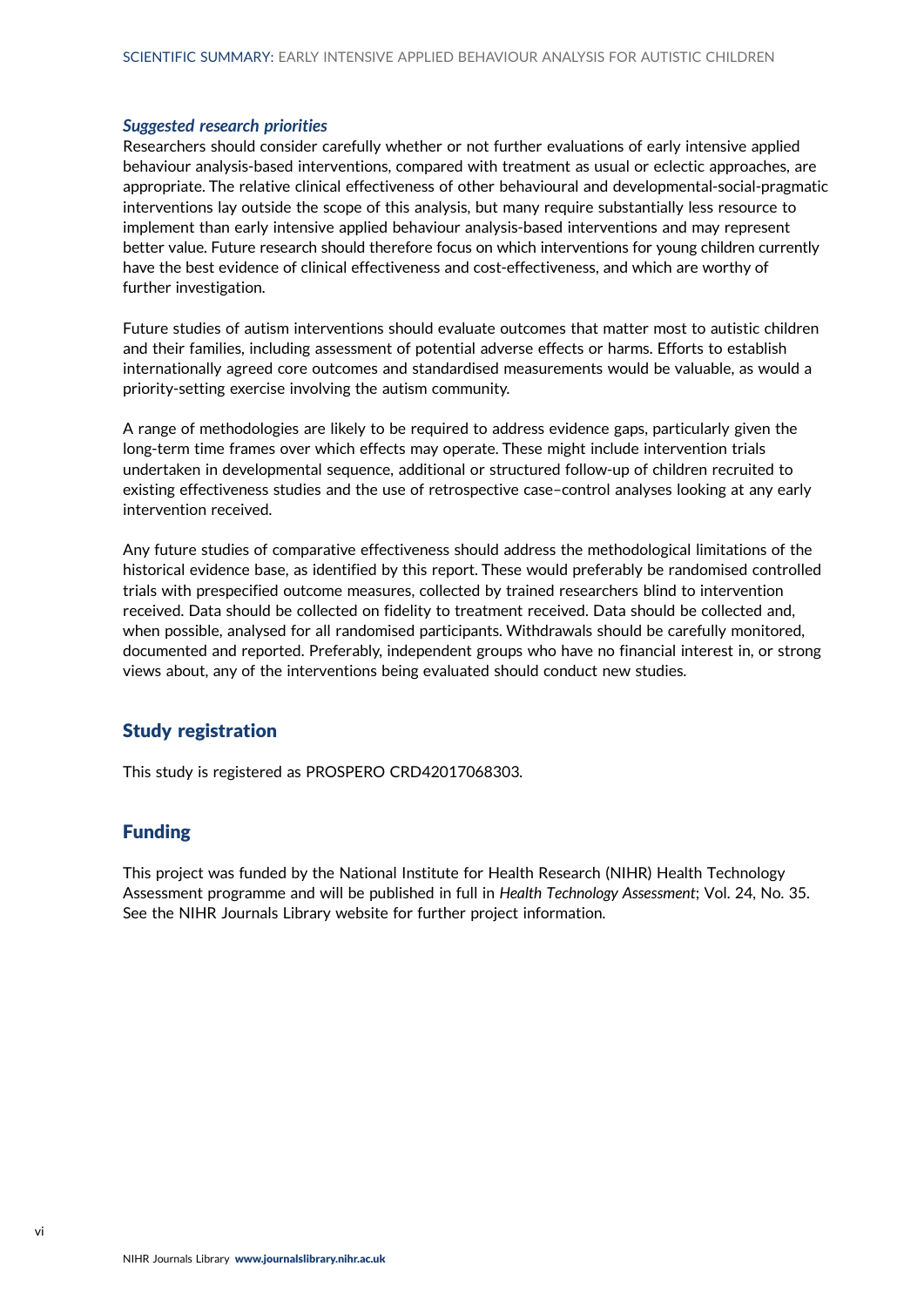#### Suggested research priorities

Researchers should consider carefully whether or not further evaluations of early intensive applied behaviour analysis-based interventions, compared with treatment as usual or eclectic approaches, are appropriate. The relative clinical effectiveness of other behavioural and developmental-social-pragmatic interventions lay outside the scope of this analysis, but many require substantially less resource to implement than early intensive applied behaviour analysis-based interventions and may represent better value. Future research should therefore focus on which interventions for young children currently have the best evidence of clinical effectiveness and cost-effectiveness, and which are worthy of further investigation.

Future studies of autism interventions should evaluate outcomes that matter most to autistic children and their families, including assessment of potential adverse effects or harms. Efforts to establish internationally agreed core outcomes and standardised measurements would be valuable, as would a priority-setting exercise involving the autism community.

A range of methodologies are likely to be required to address evidence gaps, particularly given the long-term time frames over which effects may operate. These might include intervention trials undertaken in developmental sequence, additional or structured follow-up of children recruited to existing effectiveness studies and the use of retrospective case–control analyses looking at any early intervention received.

Any future studies of comparative effectiveness should address the methodological limitations of the historical evidence base, as identified by this report. These would preferably be randomised controlled trials with prespecified outcome measures, collected by trained researchers blind to intervention received. Data should be collected on fidelity to treatment received. Data should be collected and, when possible, analysed for all randomised participants. Withdrawals should be carefully monitored, documented and reported. Preferably, independent groups who have no financial interest in, or strong views about, any of the interventions being evaluated should conduct new studies.

### Study registration

This study is registered as PROSPERO CRD42017068303.

## Funding

This project was funded by the National Institute for Health Research (NIHR) Health Technology Assessment programme and will be published in full in Health Technology Assessment; Vol. 24, No. 35. See the NIHR Journals Library website for further project information.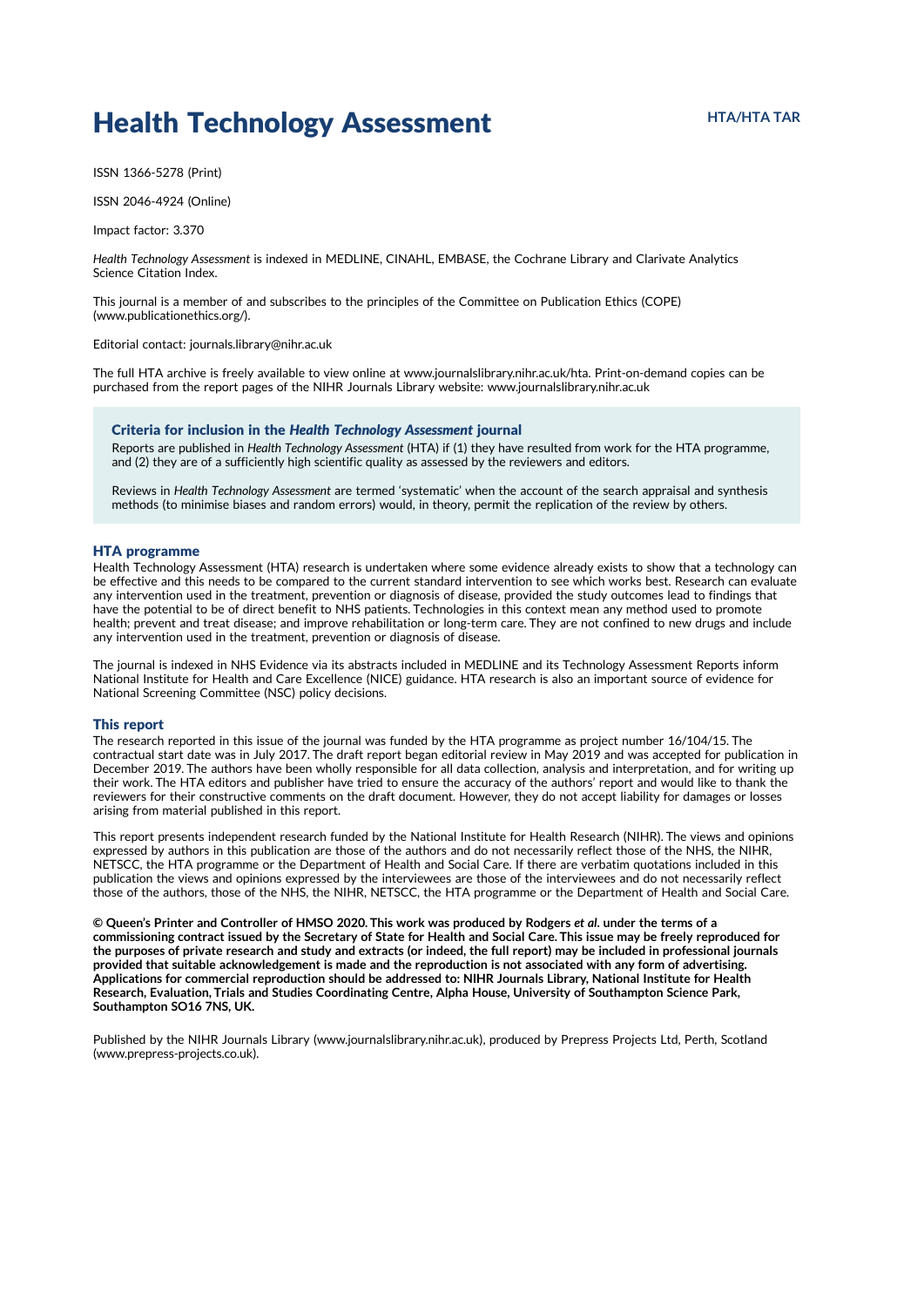## Health Technology Assessment HTA/HTA TAR

ISSN 1366-5278 (Print)

ISSN 2046-4924 (Online)

Impact factor: 3.370

Health Technology Assessment is indexed in MEDLINE, CINAHL, EMBASE, the Cochrane Library and Clarivate Analytics Science Citation Index.

This journal is a member of and subscribes to the principles of the Committee on Publication Ethics (COPE) (www.publicationethics.org/).

Editorial contact: journals.library@nihr.ac.uk

The full HTA archive is freely available to view online at www.journalslibrary.nihr.ac.uk/hta. Print-on-demand copies can be purchased from the report pages of the NIHR Journals Library website: www.journalslibrary.nihr.ac.uk

#### Criteria for inclusion in the Health Technology Assessment journal

Reports are published in Health Technology Assessment (HTA) if (1) they have resulted from work for the HTA programme, and (2) they are of a sufficiently high scientific quality as assessed by the reviewers and editors.

Reviews in Health Technology Assessment are termed 'systematic' when the account of the search appraisal and synthesis methods (to minimise biases and random errors) would, in theory, permit the replication of the review by others.

#### HTA programme

Health Technology Assessment (HTA) research is undertaken where some evidence already exists to show that a technology can be effective and this needs to be compared to the current standard intervention to see which works best. Research can evaluate any intervention used in the treatment, prevention or diagnosis of disease, provided the study outcomes lead to findings that have the potential to be of direct benefit to NHS patients. Technologies in this context mean any method used to promote health; prevent and treat disease; and improve rehabilitation or long-term care. They are not confined to new drugs and include any intervention used in the treatment, prevention or diagnosis of disease.

The journal is indexed in NHS Evidence via its abstracts included in MEDLINE and its Technology Assessment Reports inform National Institute for Health and Care Excellence (NICE) guidance. HTA research is also an important source of evidence for National Screening Committee (NSC) policy decisions.

#### This report

The research reported in this issue of the journal was funded by the HTA programme as project number 16/104/15. The contractual start date was in July 2017. The draft report began editorial review in May 2019 and was accepted for publication in December 2019. The authors have been wholly responsible for all data collection, analysis and interpretation, and for writing up their work. The HTA editors and publisher have tried to ensure the accuracy of the authors' report and would like to thank the reviewers for their constructive comments on the draft document. However, they do not accept liability for damages or losses arising from material published in this report.

This report presents independent research funded by the National Institute for Health Research (NIHR). The views and opinions expressed by authors in this publication are those of the authors and do not necessarily reflect those of the NHS, the NIHR, NETSCC, the HTA programme or the Department of Health and Social Care. If there are verbatim quotations included in this publication the views and opinions expressed by the interviewees are those of the interviewees and do not necessarily reflect those of the authors, those of the NHS, the NIHR, NETSCC, the HTA programme or the Department of Health and Social Care.

© Queen's Printer and Controller of HMSO 2020. This work was produced by Rodgers et al. under the terms of a commissioning contract issued by the Secretary of State for Health and Social Care. This issue may be freely reproduced for the purposes of private research and study and extracts (or indeed, the full report) may be included in professional journals provided that suitable acknowledgement is made and the reproduction is not associated with any form of advertising. Applications for commercial reproduction should be addressed to: NIHR Journals Library, National Institute for Health Research, Evaluation, Trials and Studies Coordinating Centre, Alpha House, University of Southampton Science Park, Southampton SO16 7NS, UK.

Published by the NIHR Journals Library (www.journalslibrary.nihr.ac.uk), produced by Prepress Projects Ltd, Perth, Scotland (www.prepress-projects.co.uk).